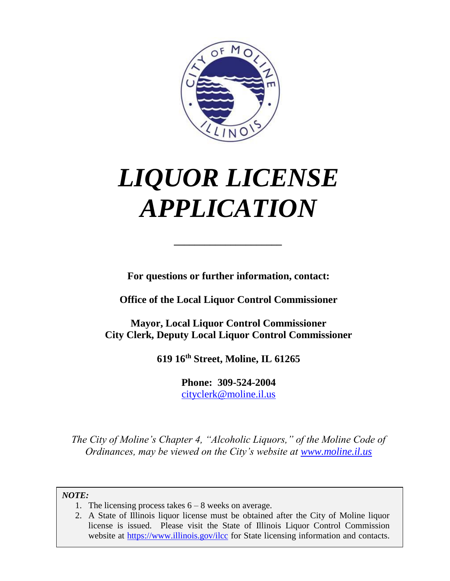

# *LIQUOR LICENSE APPLICATION*

**For questions or further information, contact:**

*\_\_\_\_\_\_\_\_\_\_\_\_\_\_\_\_\_\_\_\_\_*

**Office of the Local Liquor Control Commissioner**

**Mayor, Local Liquor Control Commissioner City Clerk, Deputy Local Liquor Control Commissioner**

**619 16th Street, Moline, IL 61265**

**Phone: 309-524-2004** [cityclerk@moline.il.us](mailto:cityclerk@moline.il.us)

*The City of Moline's Chapter 4, "Alcoholic Liquors," of the Moline Code of Ordinances, may be viewed on the City's website at [www.moline.il.us](http://www.moline.il.us/)*

*NOTE:*

- 1. The licensing process takes  $6 8$  weeks on average.
- 2. A State of Illinois liquor license must be obtained after the City of Moline liquor license is issued. Please visit the State of Illinois Liquor Control Commission website at<https://www.illinois.gov/ilcc> for State licensing information and contacts.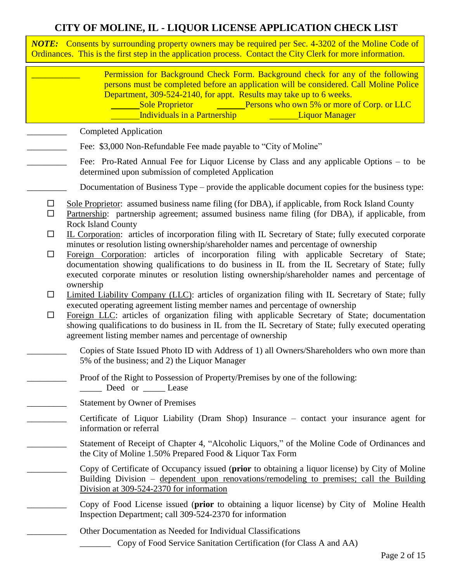#### **CITY OF MOLINE, IL - LIQUOR LICENSE APPLICATION CHECK LIST**

*NOTE:* Consents by surrounding property owners may be required per Sec. 4-3202 of the Moline Code of Ordinances. This is the first step in the application process. Contact the City Clerk for more information.

|                  | Permission for Background Check Form. Background check for any of the following<br>persons must be completed before an application will be considered. Call Moline Police<br>Department, 309-524-2140, for appt. Results may take up to 6 weeks.<br>Sole Proprietor <u>Collection Constantine Persons</u> who own 5% or more of Corp. or LLC<br>Individuals in a Partnership <b>Francish Exercise 1.</b> Liquor Manager                                                                                       |
|------------------|---------------------------------------------------------------------------------------------------------------------------------------------------------------------------------------------------------------------------------------------------------------------------------------------------------------------------------------------------------------------------------------------------------------------------------------------------------------------------------------------------------------|
|                  | <b>Completed Application</b>                                                                                                                                                                                                                                                                                                                                                                                                                                                                                  |
|                  | Fee: \$3,000 Non-Refundable Fee made payable to "City of Moline"                                                                                                                                                                                                                                                                                                                                                                                                                                              |
|                  | Fee: Pro-Rated Annual Fee for Liquor License by Class and any applicable Options – to be<br>determined upon submission of completed Application                                                                                                                                                                                                                                                                                                                                                               |
|                  | Documentation of Business Type – provide the applicable document copies for the business type:                                                                                                                                                                                                                                                                                                                                                                                                                |
| $\Box$<br>$\Box$ | Sole Proprietor: assumed business name filing (for DBA), if applicable, from Rock Island County<br>Partnership: partnership agreement; assumed business name filing (for DBA), if applicable, from<br><b>Rock Island County</b>                                                                                                                                                                                                                                                                               |
| $\Box$<br>$\Box$ | IL Corporation: articles of incorporation filing with IL Secretary of State; fully executed corporate<br>minutes or resolution listing ownership/shareholder names and percentage of ownership<br>Foreign Corporation: articles of incorporation filing with applicable Secretary of State;<br>documentation showing qualifications to do business in IL from the IL Secretary of State; fully<br>executed corporate minutes or resolution listing ownership/shareholder names and percentage of<br>ownership |
| $\Box$<br>$\Box$ | Limited Liability Company (LLC): articles of organization filing with IL Secretary of State; fully<br>executed operating agreement listing member names and percentage of ownership<br>Foreign LLC: articles of organization filing with applicable Secretary of State; documentation<br>showing qualifications to do business in IL from the IL Secretary of State; fully executed operating<br>agreement listing member names and percentage of ownership                                                   |
|                  | Copies of State Issued Photo ID with Address of 1) all Owners/Shareholders who own more than<br>5% of the business; and 2) the Liquor Manager                                                                                                                                                                                                                                                                                                                                                                 |
|                  | Proof of the Right to Possession of Property/Premises by one of the following:<br>Deed or Lease                                                                                                                                                                                                                                                                                                                                                                                                               |
|                  | <b>Statement by Owner of Premises</b>                                                                                                                                                                                                                                                                                                                                                                                                                                                                         |
|                  | Certificate of Liquor Liability (Dram Shop) Insurance – contact your insurance agent for<br>information or referral                                                                                                                                                                                                                                                                                                                                                                                           |
|                  | Statement of Receipt of Chapter 4, "Alcoholic Liquors," of the Moline Code of Ordinances and<br>the City of Moline 1.50% Prepared Food & Liquor Tax Form                                                                                                                                                                                                                                                                                                                                                      |
|                  | Copy of Certificate of Occupancy issued (prior to obtaining a liquor license) by City of Moline<br>Building Division – dependent upon renovations/remodeling to premises; call the Building<br>Division at 309-524-2370 for information                                                                                                                                                                                                                                                                       |
|                  | Copy of Food License issued (prior to obtaining a liquor license) by City of Moline Health<br>Inspection Department; call 309-524-2370 for information                                                                                                                                                                                                                                                                                                                                                        |
|                  | Other Documentation as Needed for Individual Classifications<br>Copy of Food Service Sanitation Certification (for Class A and AA)                                                                                                                                                                                                                                                                                                                                                                            |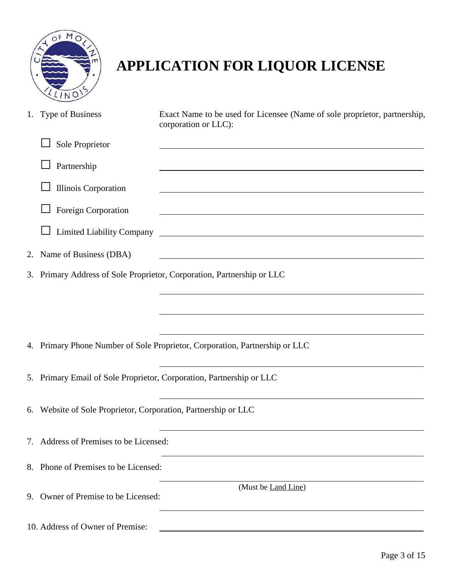

# **APPLICATION FOR LIQUOR LICENSE**

|    | 1. Type of Business                                            | Exact Name to be used for Licensee (Name of sole proprietor, partnership,<br>corporation or LLC):                     |
|----|----------------------------------------------------------------|-----------------------------------------------------------------------------------------------------------------------|
|    | Sole Proprietor                                                |                                                                                                                       |
|    | Partnership                                                    |                                                                                                                       |
|    | <b>Illinois Corporation</b>                                    |                                                                                                                       |
|    | Foreign Corporation                                            |                                                                                                                       |
|    | <b>Limited Liability Company</b>                               | <u> 1980 - Johann Barbara, martin amerikan basar dan berasal dan berasal dalam basar dalam basar dalam basar dala</u> |
| 2. | Name of Business (DBA)                                         | <u> 1980 - Johann Stoff, deutscher Stoffen und der Stoffen und der Stoffen und der Stoffen und der Stoffen und de</u> |
|    |                                                                | 3. Primary Address of Sole Proprietor, Corporation, Partnership or LLC                                                |
|    |                                                                |                                                                                                                       |
|    |                                                                |                                                                                                                       |
|    |                                                                | 4. Primary Phone Number of Sole Proprietor, Corporation, Partnership or LLC                                           |
|    |                                                                | 5. Primary Email of Sole Proprietor, Corporation, Partnership or LLC                                                  |
|    | 6. Website of Sole Proprietor, Corporation, Partnership or LLC |                                                                                                                       |
|    | 7. Address of Premises to be Licensed:                         |                                                                                                                       |
|    | 8. Phone of Premises to be Licensed:                           |                                                                                                                       |
|    | 9. Owner of Premise to be Licensed:                            | (Must be Land Line)                                                                                                   |
|    | 10. Address of Owner of Premise:                               |                                                                                                                       |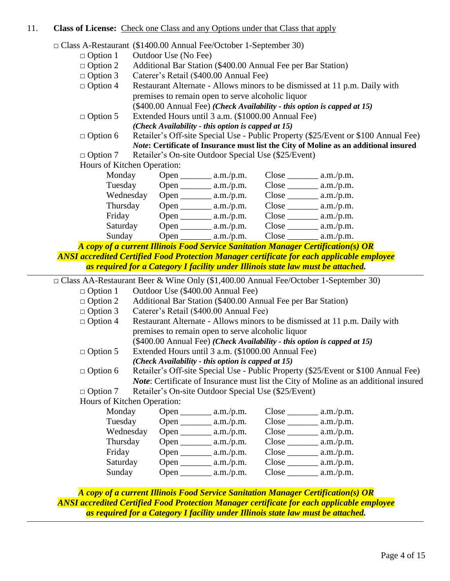#### 11. **Class of License:** Check one Class and any Options under that Class that apply

□ Class A-Restaurant (\$1400.00 Annual Fee/October 1-September 30)

- $\Box$  Option 1 Outdoor Use (No Fee)
- □ Option 2 Additional Bar Station (\$400.00 Annual Fee per Bar Station)
- □ Option 3 Caterer's Retail (\$400.00 Annual Fee)
- $\Box$  Option 4 Restaurant Alternate Allows minors to be dismissed at 11 p.m. Daily with premises to remain open to serve alcoholic liquor (\$400.00 Annual Fee) *(Check Availability - this option is capped at 15)*
- □ Option 5 Extended Hours until 3 a.m. (\$1000.00 Annual Fee)

*(Check Availability - this option is capped at 15)*

□ Option 6 Retailer's Off-site Special Use - Public Property (\$25/Event or \$100 Annual Fee) *Note***: Certificate of Insurance must list the City of Moline as an additional insured** 

□ Option 7 Retailer's On-site Outdoor Special Use (\$25/Event)

Hours of Kitchen Operation:

| Monday    | Open $\overline{\phantom{0}}$ | a.m./p.m. | $Close_$    | a.m./p.m. |
|-----------|-------------------------------|-----------|-------------|-----------|
| Tuesday   | Open                          | a.m./p.m. | Close       | a.m./p.m. |
| Wednesday | Open                          | a.m./p.m. | Close       | a.m./p.m. |
| Thursday  | $Open_$                       | a.m./p.m. | Close       | a.m./p.m. |
| Friday    | Open $_{-}$                   | a.m./p.m. | $Close_{-}$ | a.m./p.m. |
| Saturday  | Open                          | a.m./p.m. | Close       | a.m./p.m. |
| Sunday    | Open                          | a.m./p.m. | Close       | a.m./p.m. |

*A copy of a current Illinois Food Service Sanitation Manager Certification(s) OR ANSI accredited Certified Food Protection Manager certificate for each applicable employee as required for a Category I facility under Illinois state law must be attached.*

□ Class AA-Restaurant Beer & Wine Only (\$1,400.00 Annual Fee/October 1-September 30)

- □ Option 1 Outdoor Use (\$400.00 Annual Fee)
- □ Option 2 Additional Bar Station (\$400.00 Annual Fee per Bar Station)
- □ Option 3 Caterer's Retail (\$400.00 Annual Fee)
- $\Box$  Option 4 Restaurant Alternate Allows minors to be dismissed at 11 p.m. Daily with premises to remain open to serve alcoholic liquor (\$400.00 Annual Fee) *(Check Availability - this option is capped at 15)*
- $\Box$  Option 5 Extended Hours until 3 a.m. (\$1000.00 Annual Fee)
	- *(Check Availability - this option is capped at 15)*
- □ Option 6 Retailer's Off-site Special Use Public Property (\$25/Event or \$100 Annual Fee) *Note*: Certificate of Insurance must list the City of Moline as an additional insured
- □ Option 7 Retailer's On-site Outdoor Special Use (\$25/Event)
- Hours of Kitchen Operation:

| Monday    | Open | a.m./p.m. | $Close$ $\overline{\phantom{a}}$ | a.m./p.m. |
|-----------|------|-----------|----------------------------------|-----------|
| Tuesday   | Open | a.m./p.m. | Close                            | a.m./p.m. |
| Wednesday | Open | a.m./p.m. | Close                            | a.m./p.m. |
| Thursday  | Open | a.m./p.m. | Close                            | a.m./p.m. |
| Friday    | Open | a.m./p.m. | Close                            | a.m./p.m. |
| Saturday  | Open | a.m./p.m. | Close                            | a.m./p.m. |
| Sunday    | Open | a.m./p.m. | Close                            | a.m./p.m. |

*A copy of a current Illinois Food Service Sanitation Manager Certification(s) OR ANSI accredited Certified Food Protection Manager certificate for each applicable employee as required for a Category I facility under Illinois state law must be attached.*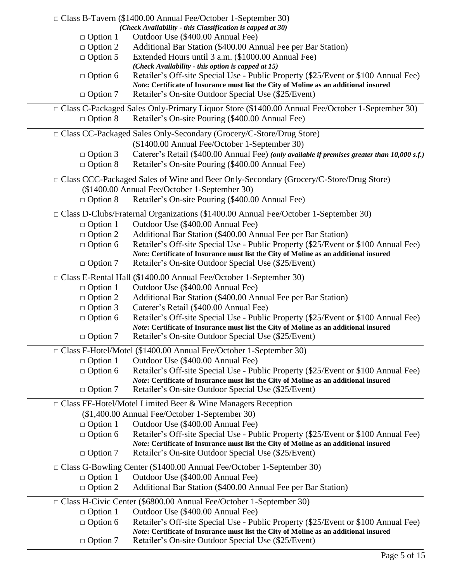|                 | $\Box$ Class B-Tavern (\$1400.00 Annual Fee/October 1-September 30)                                                                                                        |
|-----------------|----------------------------------------------------------------------------------------------------------------------------------------------------------------------------|
|                 | (Check Availability - this Classification is capped at 30)                                                                                                                 |
| $\Box$ Option 1 | Outdoor Use (\$400.00 Annual Fee)                                                                                                                                          |
| $\Box$ Option 2 | Additional Bar Station (\$400.00 Annual Fee per Bar Station)                                                                                                               |
| $\Box$ Option 5 | Extended Hours until 3 a.m. (\$1000.00 Annual Fee)<br>(Check Availability - this option is capped at 15)                                                                   |
| $\Box$ Option 6 | Retailer's Off-site Special Use - Public Property (\$25/Event or \$100 Annual Fee)                                                                                         |
|                 | Note: Certificate of Insurance must list the City of Moline as an additional insured                                                                                       |
| $\Box$ Option 7 | Retailer's On-site Outdoor Special Use (\$25/Event)                                                                                                                        |
|                 | □ Class C-Packaged Sales Only-Primary Liquor Store (\$1400.00 Annual Fee/October 1-September 30)                                                                           |
| $\Box$ Option 8 | Retailer's On-site Pouring (\$400.00 Annual Fee)                                                                                                                           |
|                 | □ Class CC-Packaged Sales Only-Secondary (Grocery/C-Store/Drug Store)                                                                                                      |
|                 | (\$1400.00 Annual Fee/October 1-September 30)                                                                                                                              |
| $\Box$ Option 3 | Caterer's Retail (\$400.00 Annual Fee) (only available if premises greater than 10,000 s.f.)                                                                               |
| $\Box$ Option 8 | Retailer's On-site Pouring (\$400.00 Annual Fee)                                                                                                                           |
|                 | □ Class CCC-Packaged Sales of Wine and Beer Only-Secondary (Grocery/C-Store/Drug Store)                                                                                    |
|                 | (\$1400.00 Annual Fee/October 1-September 30)                                                                                                                              |
| $\Box$ Option 8 | Retailer's On-site Pouring (\$400.00 Annual Fee)                                                                                                                           |
|                 | $\Box$ Class D-Clubs/Fraternal Organizations (\$1400.00 Annual Fee/October 1-September 30)                                                                                 |
| $\Box$ Option 1 | Outdoor Use (\$400.00 Annual Fee)                                                                                                                                          |
| $\Box$ Option 2 | Additional Bar Station (\$400.00 Annual Fee per Bar Station)                                                                                                               |
| $\Box$ Option 6 | Retailer's Off-site Special Use - Public Property (\$25/Event or \$100 Annual Fee)<br>Note: Certificate of Insurance must list the City of Moline as an additional insured |
| $\Box$ Option 7 | Retailer's On-site Outdoor Special Use (\$25/Event)                                                                                                                        |
|                 | □ Class E-Rental Hall (\$1400.00 Annual Fee/October 1-September 30)                                                                                                        |
| $\Box$ Option 1 | Outdoor Use (\$400.00 Annual Fee)                                                                                                                                          |
| $\Box$ Option 2 | Additional Bar Station (\$400.00 Annual Fee per Bar Station)                                                                                                               |
| $\Box$ Option 3 | Caterer's Retail (\$400.00 Annual Fee)                                                                                                                                     |
| $\Box$ Option 6 | Retailer's Off-site Special Use - Public Property (\$25/Event or \$100 Annual Fee)                                                                                         |
|                 | Note: Certificate of Insurance must list the City of Moline as an additional insured                                                                                       |
| $\Box$ Option 7 | Retailer's On-site Outdoor Special Use (\$25/Event)                                                                                                                        |
|                 | □ Class F-Hotel/Motel (\$1400.00 Annual Fee/October 1-September 30)                                                                                                        |
| $\Box$ Option 1 | Outdoor Use (\$400.00 Annual Fee)                                                                                                                                          |
| $\Box$ Option 6 | Retailer's Off-site Special Use - Public Property (\$25/Event or \$100 Annual Fee)                                                                                         |
| $\Box$ Option 7 | Note: Certificate of Insurance must list the City of Moline as an additional insured<br>Retailer's On-site Outdoor Special Use (\$25/Event)                                |
|                 |                                                                                                                                                                            |
|                 | $\Box$ Class FF-Hotel/Motel Limited Beer & Wine Managers Reception<br>(\$1,400.00 Annual Fee/October 1-September 30)                                                       |
| $\Box$ Option 1 | Outdoor Use (\$400.00 Annual Fee)                                                                                                                                          |
| $\Box$ Option 6 | Retailer's Off-site Special Use - Public Property (\$25/Event or \$100 Annual Fee)                                                                                         |
|                 | Note: Certificate of Insurance must list the City of Moline as an additional insured                                                                                       |
| $\Box$ Option 7 | Retailer's On-site Outdoor Special Use (\$25/Event)                                                                                                                        |
|                 | □ Class G-Bowling Center (\$1400.00 Annual Fee/October 1-September 30)                                                                                                     |
| $\Box$ Option 1 | Outdoor Use (\$400.00 Annual Fee)                                                                                                                                          |
| $\Box$ Option 2 | Additional Bar Station (\$400.00 Annual Fee per Bar Station)                                                                                                               |
|                 |                                                                                                                                                                            |
|                 | □ Class H-Civic Center (\$6800.00 Annual Fee/October 1-September 30)                                                                                                       |
| $\Box$ Option 1 | Outdoor Use (\$400.00 Annual Fee)                                                                                                                                          |
| $\Box$ Option 6 | Retailer's Off-site Special Use - Public Property (\$25/Event or \$100 Annual Fee)<br>Note: Certificate of Insurance must list the City of Moline as an additional insured |
| $\Box$ Option 7 | Retailer's On-site Outdoor Special Use (\$25/Event)                                                                                                                        |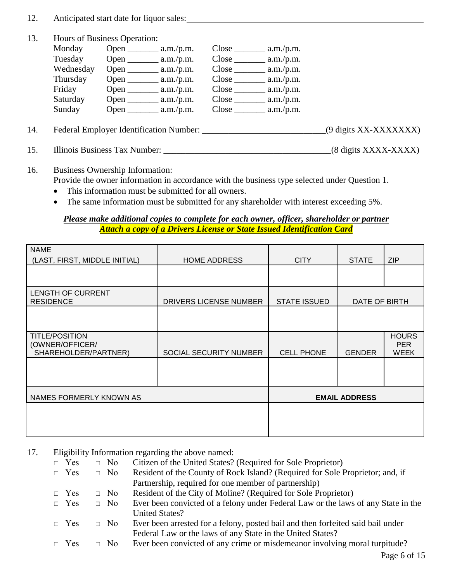- 12. Anticipated start date for liquor sales:
- 13. Hours of Business Operation:

| Monday    | Open $\_\_$                   | a.m./p.m. |       | a.m./p.m. |
|-----------|-------------------------------|-----------|-------|-----------|
| Tuesday   | Open $\overline{\phantom{0}}$ | a.m./p.m. | Close | a.m./p.m. |
| Wednesday | Open $\_\_$                   | a.m./p.m. | Close | a.m./p.m. |
| Thursday  | Open                          | a.m./p.m. | Close | a.m./p.m. |
| Friday    | Open.                         | a.m./p.m. | Close | a.m./p.m. |
| Saturday  | Open                          | a.m./p.m. | Close | a.m./p.m. |
| Sunday    | Open                          | a.m./p.m. | Close | a.m./p.m. |

- 14. Federal Employer Identification Number: \_\_\_\_\_\_\_\_\_\_\_\_\_\_\_\_\_\_\_\_\_\_\_\_\_\_\_\_\_\_\_\_\_\_\_(9 digits XX-XXXXXXXX)
- 15. Illinois Business Tax Number: \_\_\_\_\_\_\_\_\_\_\_\_\_\_\_\_\_\_\_\_\_\_\_\_\_\_\_\_\_\_\_\_\_\_\_\_\_\_(8 digits XXXX-XXXX)
- 16. Business Ownership Information:

Provide the owner information in accordance with the business type selected under Question 1.

- This information must be submitted for all owners.
- The same information must be submitted for any shareholder with interest exceeding 5%.

#### *Please make additional copies to complete for each owner, officer, shareholder or partner Attach a copy of a Drivers License or State Issued Identification Card*

| <b>NAME</b><br>(LAST, FIRST, MIDDLE INITIAL)                     | <b>HOME ADDRESS</b>    | <b>CITY</b>          | <b>STATE</b>  | <b>ZIP</b>                                |
|------------------------------------------------------------------|------------------------|----------------------|---------------|-------------------------------------------|
|                                                                  |                        |                      |               |                                           |
| <b>LENGTH OF CURRENT</b><br><b>RESIDENCE</b>                     | DRIVERS LICENSE NUMBER | <b>STATE ISSUED</b>  | DATE OF BIRTH |                                           |
|                                                                  |                        |                      |               |                                           |
| <b>TITLE/POSITION</b><br>(OWNER/OFFICER/<br>SHAREHOLDER/PARTNER) | SOCIAL SECURITY NUMBER | <b>CELL PHONE</b>    | <b>GENDER</b> | <b>HOURS</b><br><b>PER</b><br><b>WEEK</b> |
|                                                                  |                        |                      |               |                                           |
| NAMES FORMERLY KNOWN AS                                          |                        | <b>EMAIL ADDRESS</b> |               |                                           |
|                                                                  |                        |                      |               |                                           |
|                                                                  |                        |                      |               |                                           |

17. Eligibility Information regarding the above named:

| $\Box$ Yes | $\Box$ No | Citizen of the United States? (Required for Sole Proprietor)                      |
|------------|-----------|-----------------------------------------------------------------------------------|
| $\Box$ Yes | $\Box$ No | Resident of the County of Rock Island? (Required for Sole Proprietor; and, if     |
|            |           | Partnership, required for one member of partnership)                              |
| $\Box$ Yes | $\Box$ No | Resident of the City of Moline? (Required for Sole Proprietor)                    |
| $\Box$ Yes | $\Box$ No | Ever been convicted of a felony under Federal Law or the laws of any State in the |
|            |           | <b>United States?</b>                                                             |
| $\Box$ Yes | $\Box$ No | Ever been arrested for a felony, posted bail and then forfeited said bail under   |
|            |           | Federal Law or the laws of any State in the United States?                        |
| $\Box$ Yes | $\Box$ No | Ever been convicted of any crime or misdemeanor involving moral turpitude?        |
|            |           |                                                                                   |

Page 6 of 15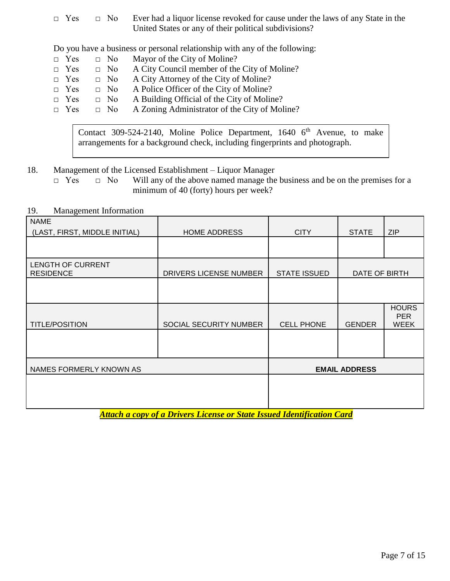□ Yes □ No Ever had a liquor license revoked for cause under the laws of any State in the United States or any of their political subdivisions?

Do you have a business or personal relationship with any of the following:

- $\Box$  Yes  $\Box$  No Mayor of the City of Moline?
- $\Box$  Yes  $\Box$  No A City Council member of the City of Moline?
- □ Yes □ No A City Attorney of the City of Moline?
- □ Yes □ No A Police Officer of the City of Moline?
- $\Box$  Yes  $\Box$  No A Building Official of the City of Moline?
- □ Yes □ No A Zoning Administrator of the City of Moline?

Contact 309-524-2140, Moline Police Department, 1640  $6<sup>th</sup>$  Avenue, to make arrangements for a background check, including fingerprints and photograph.

18. Management of the Licensed Establishment – Liquor Manager

□ Yes □ No Will any of the above named manage the business and be on the premises for a minimum of 40 (forty) hours per week?

| <b>NAME</b><br>(LAST, FIRST, MIDDLE INITIAL) | <b>HOME ADDRESS</b>    | <b>CITY</b>          | <b>STATE</b>  | <b>ZIP</b>                                |
|----------------------------------------------|------------------------|----------------------|---------------|-------------------------------------------|
|                                              |                        |                      |               |                                           |
| <b>LENGTH OF CURRENT</b><br><b>RESIDENCE</b> | DRIVERS LICENSE NUMBER | <b>STATE ISSUED</b>  | DATE OF BIRTH |                                           |
|                                              |                        |                      |               |                                           |
| <b>TITLE/POSITION</b>                        | SOCIAL SECURITY NUMBER | <b>CELL PHONE</b>    | <b>GENDER</b> | <b>HOURS</b><br><b>PER</b><br><b>WEEK</b> |
|                                              |                        |                      |               |                                           |
| NAMES FORMERLY KNOWN AS                      |                        | <b>EMAIL ADDRESS</b> |               |                                           |
|                                              |                        |                      |               |                                           |
|                                              |                        |                      |               |                                           |

19. Management Information

*Attach a copy of a Drivers License or State Issued Identification Card*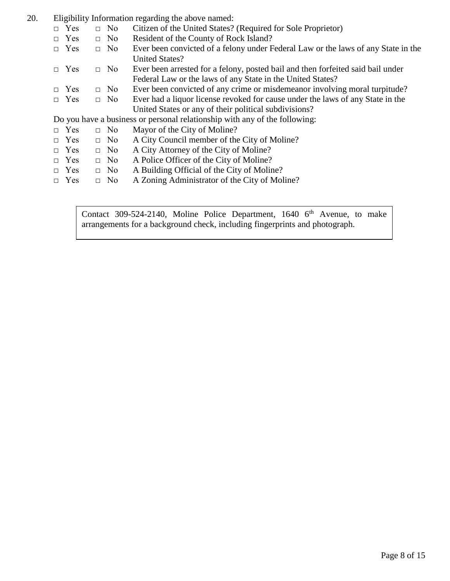- 20. Eligibility Information regarding the above named:
	- □ Yes □ No Citizen of the United States? (Required for Sole Proprietor)
	- □ Yes □ No Resident of the County of Rock Island?
	- $\Box$  Yes  $\Box$  No Ever been convicted of a felony under Federal Law or the laws of any State in the United States?
	- □ Yes □ No Ever been arrested for a felony, posted bail and then forfeited said bail under Federal Law or the laws of any State in the United States?
	- $\Box$  Yes  $\Box$  No Ever been convicted of any crime or misdemeanor involving moral turpitude?
	- □ Yes □ No Ever had a liquor license revoked for cause under the laws of any State in the United States or any of their political subdivisions?

Do you have a business or personal relationship with any of the following:

- $\Box$  Yes  $\Box$  No Mayor of the City of Moline?
- □ Yes □ No A City Council member of the City of Moline?
- $\Box$  Yes  $\Box$  No A City Attorney of the City of Moline?
- □ Yes □ No A Police Officer of the City of Moline?
- $\Box$  Yes  $\Box$  No A Building Official of the City of Moline?
- □ Yes □ No A Zoning Administrator of the City of Moline?

Contact 309-524-2140, Moline Police Department, 1640  $6<sup>th</sup>$  Avenue, to make arrangements for a background check, including fingerprints and photograph.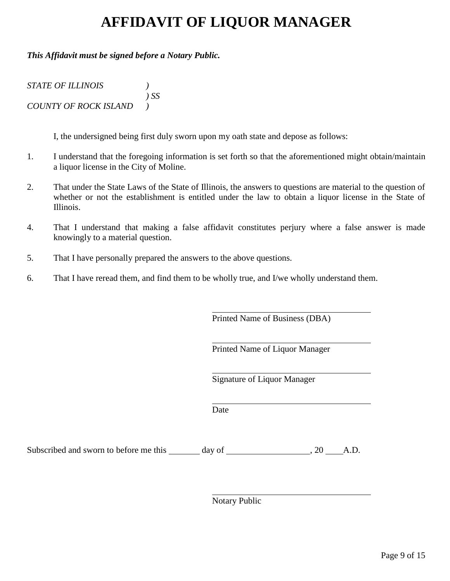### **AFFIDAVIT OF LIQUOR MANAGER**

#### *This Affidavit must be signed before a Notary Public.*

| <b>STATE OF ILLINOIS</b>     |        |
|------------------------------|--------|
|                              | $\sum$ |
| <b>COUNTY OF ROCK ISLAND</b> |        |

I, the undersigned being first duly sworn upon my oath state and depose as follows:

- 1. I understand that the foregoing information is set forth so that the aforementioned might obtain/maintain a liquor license in the City of Moline.
- 2. That under the State Laws of the State of Illinois, the answers to questions are material to the question of whether or not the establishment is entitled under the law to obtain a liquor license in the State of Illinois.
- 4. That I understand that making a false affidavit constitutes perjury where a false answer is made knowingly to a material question.
- 5. That I have personally prepared the answers to the above questions.
- 6. That I have reread them, and find them to be wholly true, and I/we wholly understand them.

Printed Name of Business (DBA)

Printed Name of Liquor Manager

Signature of Liquor Manager

**Date** 

Subscribed and sworn to before me this  $\_\_\_\_$  day of  $\_\_\_\_\_\_$ , 20  $\_\_\_$ A.D.

Notary Public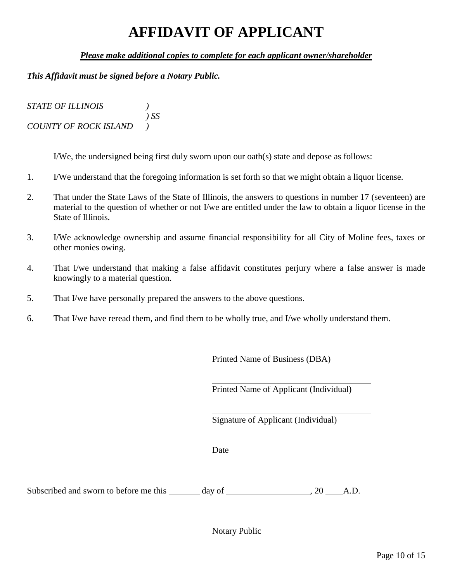### **AFFIDAVIT OF APPLICANT**

#### *Please make additional copies to complete for each applicant owner/shareholder*

#### *This Affidavit must be signed before a Notary Public.*

| <b>STATE OF ILLINOIS</b>     |        |
|------------------------------|--------|
|                              | $)$ SS |
| <b>COUNTY OF ROCK ISLAND</b> |        |

I/We, the undersigned being first duly sworn upon our oath(s) state and depose as follows:

- 1. I/We understand that the foregoing information is set forth so that we might obtain a liquor license.
- 2. That under the State Laws of the State of Illinois, the answers to questions in number 17 (seventeen) are material to the question of whether or not I/we are entitled under the law to obtain a liquor license in the State of Illinois.
- 3. I/We acknowledge ownership and assume financial responsibility for all City of Moline fees, taxes or other monies owing.
- 4. That I/we understand that making a false affidavit constitutes perjury where a false answer is made knowingly to a material question.
- 5. That I/we have personally prepared the answers to the above questions.
- 6. That I/we have reread them, and find them to be wholly true, and I/we wholly understand them.

Printed Name of Business (DBA)

Printed Name of Applicant (Individual)

Signature of Applicant (Individual)

Date

Subscribed and sworn to before me this day of  $\qquad \qquad$  , 20 A.D.

Notary Public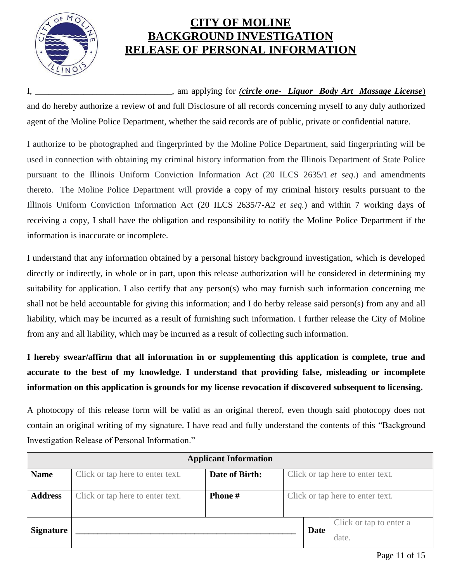

### **CITY OF MOLINE BACKGROUND INVESTIGATION RELEASE OF PERSONAL INFORMATION**

#### I, \_\_\_\_\_\_\_\_\_\_\_\_\_\_\_\_\_\_\_\_\_\_\_\_\_\_\_\_\_\_\_, am applying for *(circle one- Liquor Body Art Massage License*)

and do hereby authorize a review of and full Disclosure of all records concerning myself to any duly authorized agent of the Moline Police Department, whether the said records are of public, private or confidential nature.

I authorize to be photographed and fingerprinted by the Moline Police Department, said fingerprinting will be used in connection with obtaining my criminal history information from the Illinois Department of State Police pursuant to the Illinois Uniform Conviction Information Act (20 ILCS 2635/1 *et seq*.) and amendments thereto. The Moline Police Department will provide a copy of my criminal history results pursuant to the Illinois Uniform Conviction Information Act (20 ILCS 2635/7-A2 *et seq.*) and within 7 working days of receiving a copy, I shall have the obligation and responsibility to notify the Moline Police Department if the information is inaccurate or incomplete.

I understand that any information obtained by a personal history background investigation, which is developed directly or indirectly, in whole or in part, upon this release authorization will be considered in determining my suitability for application. I also certify that any person(s) who may furnish such information concerning me shall not be held accountable for giving this information; and I do herby release said person(s) from any and all liability, which may be incurred as a result of furnishing such information. I further release the City of Moline from any and all liability, which may be incurred as a result of collecting such information.

**I hereby swear/affirm that all information in or supplementing this application is complete, true and accurate to the best of my knowledge. I understand that providing false, misleading or incomplete information on this application is grounds for my license revocation if discovered subsequent to licensing.** 

A photocopy of this release form will be valid as an original thereof, even though said photocopy does not contain an original writing of my signature. I have read and fully understand the contents of this "Background Investigation Release of Personal Information."

| <b>Applicant Information</b> |                                                                                        |  |  |             |                                  |
|------------------------------|----------------------------------------------------------------------------------------|--|--|-------------|----------------------------------|
| <b>Name</b>                  | Click or tap here to enter text.<br>Date of Birth:<br>Click or tap here to enter text. |  |  |             |                                  |
| <b>Address</b>               | Click or tap here to enter text.<br><b>Phone</b> #<br>Click or tap here to enter text. |  |  |             |                                  |
| <b>Signature</b>             |                                                                                        |  |  | <b>Date</b> | Click or tap to enter a<br>date. |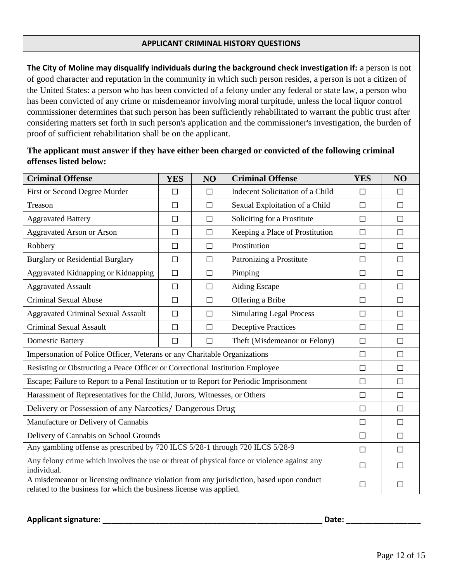#### **APPLICANT CRIMINAL HISTORY QUESTIONS**

**The City of Moline may disqualify individuals during the background check investigation if:** a person is not of good character and reputation in the community in which such person resides, a person is not a citizen of the United States: a person who has been convicted of a felony under any federal or state law, a person who has been convicted of any crime or misdemeanor involving moral turpitude, unless the local liquor control commissioner determines that such person has been sufficiently rehabilitated to warrant the public trust after considering matters set forth in such person's application and the commissioner's investigation, the burden of proof of sufficient rehabilitation shall be on the applicant.

| <b>Criminal Offense</b>                                                                                                                                         | <b>YES</b> | NO     | <b>Criminal Offense</b>          | <b>YES</b> | NO     |  |  |
|-----------------------------------------------------------------------------------------------------------------------------------------------------------------|------------|--------|----------------------------------|------------|--------|--|--|
| First or Second Degree Murder                                                                                                                                   | П          | П      | Indecent Solicitation of a Child | П          | $\Box$ |  |  |
| Treason                                                                                                                                                         | $\Box$     | $\Box$ | Sexual Exploitation of a Child   | $\Box$     | $\Box$ |  |  |
| <b>Aggravated Battery</b>                                                                                                                                       | П          | П      | Soliciting for a Prostitute      | $\Box$     | $\Box$ |  |  |
| <b>Aggravated Arson or Arson</b>                                                                                                                                | $\Box$     | $\Box$ | Keeping a Place of Prostitution  | $\Box$     | $\Box$ |  |  |
| Robbery                                                                                                                                                         | $\Box$     | $\Box$ | Prostitution                     | $\Box$     | $\Box$ |  |  |
| <b>Burglary or Residential Burglary</b>                                                                                                                         | $\Box$     | $\Box$ | Patronizing a Prostitute         | $\Box$     | $\Box$ |  |  |
| Aggravated Kidnapping or Kidnapping                                                                                                                             | $\Box$     | $\Box$ | Pimping                          | $\Box$     | $\Box$ |  |  |
| <b>Aggravated Assault</b>                                                                                                                                       | $\Box$     | П      | Aiding Escape                    | $\Box$     | $\Box$ |  |  |
| <b>Criminal Sexual Abuse</b>                                                                                                                                    | $\Box$     | П      | Offering a Bribe                 | $\Box$     | $\Box$ |  |  |
| <b>Aggravated Criminal Sexual Assault</b>                                                                                                                       | $\Box$     | П      | <b>Simulating Legal Process</b>  | $\Box$     | $\Box$ |  |  |
| <b>Criminal Sexual Assault</b>                                                                                                                                  | $\Box$     | П      | <b>Deceptive Practices</b>       | $\Box$     | $\Box$ |  |  |
| <b>Domestic Battery</b>                                                                                                                                         | $\Box$     | $\Box$ | Theft (Misdemeanor or Felony)    | $\Box$     | $\Box$ |  |  |
| Impersonation of Police Officer, Veterans or any Charitable Organizations                                                                                       |            |        |                                  | $\Box$     | $\Box$ |  |  |
| Resisting or Obstructing a Peace Officer or Correctional Institution Employee                                                                                   |            |        |                                  | $\Box$     | $\Box$ |  |  |
| Escape; Failure to Report to a Penal Institution or to Report for Periodic Imprisonment                                                                         |            |        |                                  | $\Box$     | $\Box$ |  |  |
| Harassment of Representatives for the Child, Jurors, Witnesses, or Others                                                                                       |            |        |                                  | $\Box$     | $\Box$ |  |  |
| Delivery or Possession of any Narcotics/ Dangerous Drug                                                                                                         |            |        |                                  | $\Box$     | $\Box$ |  |  |
| Manufacture or Delivery of Cannabis                                                                                                                             |            |        |                                  | $\Box$     | $\Box$ |  |  |
| Delivery of Cannabis on School Grounds                                                                                                                          |            |        |                                  | $\Box$     | $\Box$ |  |  |
| Any gambling offense as prescribed by 720 ILCS 5/28-1 through 720 ILCS 5/28-9                                                                                   |            |        |                                  | $\Box$     | $\Box$ |  |  |
| Any felony crime which involves the use or threat of physical force or violence against any<br>individual.                                                      |            |        | П                                | П          |        |  |  |
| A misdemeanor or licensing ordinance violation from any jurisdiction, based upon conduct<br>related to the business for which the business license was applied. |            |        |                                  | $\Box$     | П      |  |  |

#### **The applicant must answer if they have either been charged or convicted of the following criminal offenses listed below:**

**Applicant signature: \_\_\_\_\_\_\_\_\_\_\_\_\_\_\_\_\_\_\_\_\_\_\_\_\_\_\_\_\_\_\_\_\_\_\_\_\_\_\_\_\_\_\_\_\_\_\_\_\_\_ Date: \_\_\_\_\_\_\_\_\_\_\_\_\_\_\_\_\_**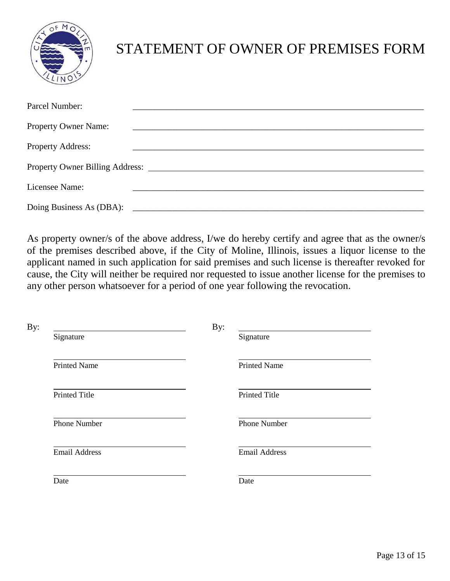

## STATEMENT OF OWNER OF PREMISES FORM

| Parcel Number:              |                                          |
|-----------------------------|------------------------------------------|
|                             |                                          |
| <b>Property Owner Name:</b> |                                          |
|                             |                                          |
| <b>Property Address:</b>    |                                          |
|                             |                                          |
|                             |                                          |
| Licensee Name:              |                                          |
|                             |                                          |
|                             | Doing Business As (DBA): $\qquad \qquad$ |

As property owner/s of the above address, I/we do hereby certify and agree that as the owner/s of the premises described above, if the City of Moline, Illinois, issues a liquor license to the applicant named in such application for said premises and such license is thereafter revoked for cause, the City will neither be required nor requested to issue another license for the premises to any other person whatsoever for a period of one year following the revocation.

|                      | By:                  |  |
|----------------------|----------------------|--|
| Signature            | Signature            |  |
| <b>Printed Name</b>  | <b>Printed Name</b>  |  |
| <b>Printed Title</b> | Printed Title        |  |
| <b>Phone Number</b>  | <b>Phone Number</b>  |  |
| <b>Email Address</b> | <b>Email Address</b> |  |
| Date                 | Date                 |  |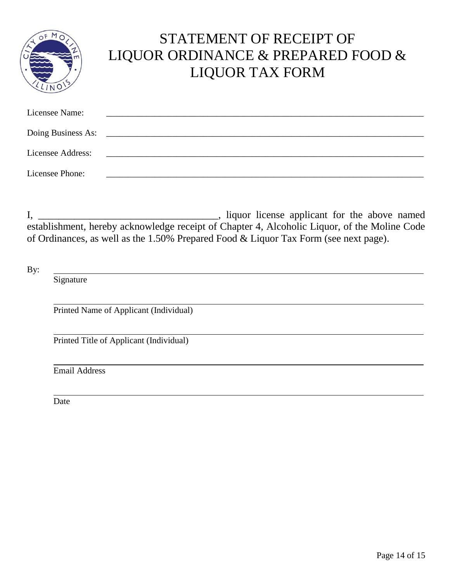|                    | STATEMENT OF RECEIPT OF<br>LIQUOR ORDINANCE & PREPARED FOOD &<br><b>LIQUOR TAX FORM</b> |
|--------------------|-----------------------------------------------------------------------------------------|
| Licensee Name:     |                                                                                         |
| Doing Business As: |                                                                                         |
| Licensee Address:  |                                                                                         |
| Licensee Phone:    |                                                                                         |

I, \_\_\_\_\_\_\_\_\_\_\_\_\_\_\_\_\_\_\_\_\_\_\_\_\_\_\_\_\_\_\_\_\_\_\_, liquor license applicant for the above named establishment, hereby acknowledge receipt of Chapter 4, Alcoholic Liquor, of the Moline Code of Ordinances, as well as the 1.50% Prepared Food & Liquor Tax Form (see next page).

By:

Signature

Printed Name of Applicant (Individual)

Printed Title of Applicant (Individual)

Email Address

Date